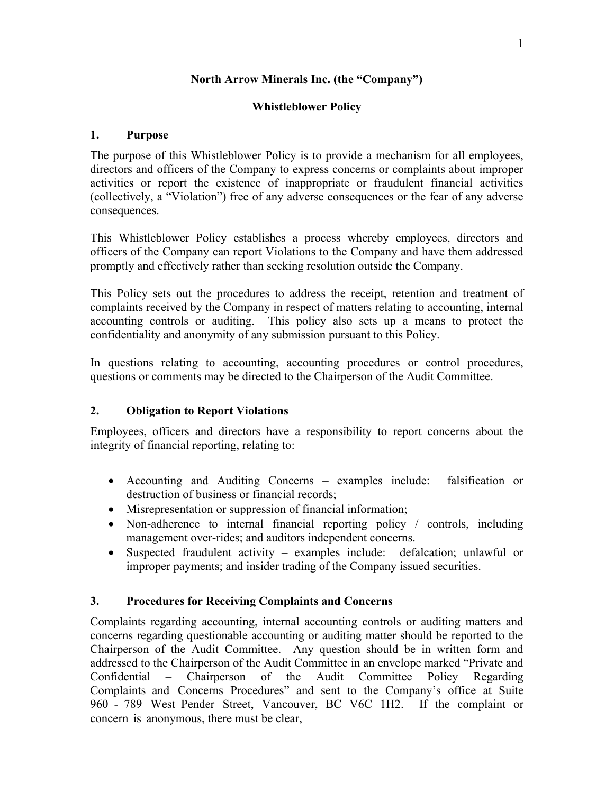#### **North Arrow Minerals Inc. (the "Company")**

#### **Whistleblower Policy**

#### **1. Purpose**

The purpose of this Whistleblower Policy is to provide a mechanism for all employees, directors and officers of the Company to express concerns or complaints about improper activities or report the existence of inappropriate or fraudulent financial activities (collectively, a "Violation") free of any adverse consequences or the fear of any adverse consequences.

This Whistleblower Policy establishes a process whereby employees, directors and officers of the Company can report Violations to the Company and have them addressed promptly and effectively rather than seeking resolution outside the Company.

This Policy sets out the procedures to address the receipt, retention and treatment of complaints received by the Company in respect of matters relating to accounting, internal accounting controls or auditing. This policy also sets up a means to protect the confidentiality and anonymity of any submission pursuant to this Policy.

In questions relating to accounting, accounting procedures or control procedures, questions or comments may be directed to the Chairperson of the Audit Committee.

# **2. Obligation to Report Violations**

Employees, officers and directors have a responsibility to report concerns about the integrity of financial reporting, relating to:

- Accounting and Auditing Concerns examples include: falsification or destruction of business or financial records;
- Misrepresentation or suppression of financial information;
- Non-adherence to internal financial reporting policy / controls, including management over-rides; and auditors independent concerns.
- Suspected fraudulent activity examples include: defalcation; unlawful or improper payments; and insider trading of the Company issued securities.

# **3. Procedures for Receiving Complaints and Concerns**

Complaints regarding accounting, internal accounting controls or auditing matters and concerns regarding questionable accounting or auditing matter should be reported to the Chairperson of the Audit Committee. Any question should be in written form and addressed to the Chairperson of the Audit Committee in an envelope marked "Private and Confidential – Chairperson of the Audit Committee Policy Regarding Complaints and Concerns Procedures" and sent to the Company's office at Suite 960 - 789 West Pender Street, Vancouver, BC V6C 1H2. If the complaint or concern is anonymous, there must be clear,